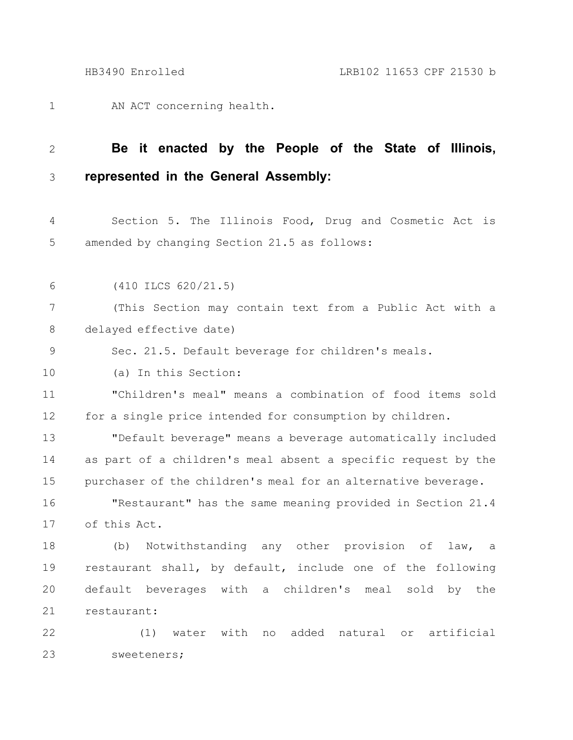AN ACT concerning health. 1

## **Be it enacted by the People of the State of Illinois, represented in the General Assembly:** 2 3

Section 5. The Illinois Food, Drug and Cosmetic Act is amended by changing Section 21.5 as follows: 4 5

(410 ILCS 620/21.5) 6

(This Section may contain text from a Public Act with a delayed effective date) 7 8

Sec. 21.5. Default beverage for children's meals. 9

(a) In this Section: 10

"Children's meal" means a combination of food items sold for a single price intended for consumption by children. 11 12

"Default beverage" means a beverage automatically included as part of a children's meal absent a specific request by the purchaser of the children's meal for an alternative beverage. 13 14 15

"Restaurant" has the same meaning provided in Section 21.4 of this Act. 16 17

(b) Notwithstanding any other provision of law, a restaurant shall, by default, include one of the following default beverages with a children's meal sold by the restaurant: 18 19 20 21

(1) water with no added natural or artificial sweeteners; 22 23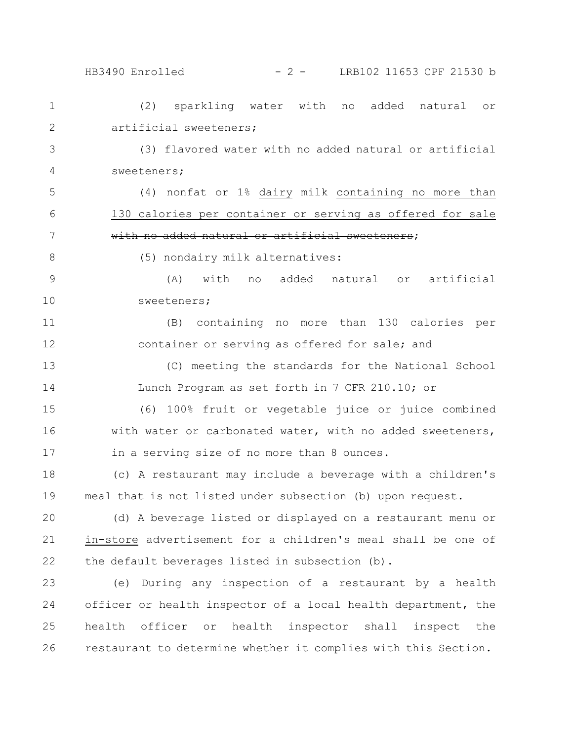26

## HB3490 Enrolled - 2 - LRB102 11653 CPF 21530 b

(2) sparkling water with no added natural or artificial sweeteners; (3) flavored water with no added natural or artificial sweeteners; (4) nonfat or 1% dairy milk containing no more than 130 calories per container or serving as offered for sale with no added natural or artificial sweeteners; (5) nondairy milk alternatives: (A) with no added natural or artificial sweeteners; (B) containing no more than 130 calories per container or serving as offered for sale; and (C) meeting the standards for the National School Lunch Program as set forth in 7 CFR 210.10; or (6) 100% fruit or vegetable juice or juice combined with water or carbonated water, with no added sweeteners, in a serving size of no more than 8 ounces. (c) A restaurant may include a beverage with a children's meal that is not listed under subsection (b) upon request. (d) A beverage listed or displayed on a restaurant menu or in-store advertisement for a children's meal shall be one of the default beverages listed in subsection (b). (e) During any inspection of a restaurant by a health officer or health inspector of a local health department, the health officer or health inspector shall inspect the 1 2 3 4 5 6 7 8 9 10 11 12 13 14 15 16 17 18 19 20 21 22 23 24 25

restaurant to determine whether it complies with this Section.